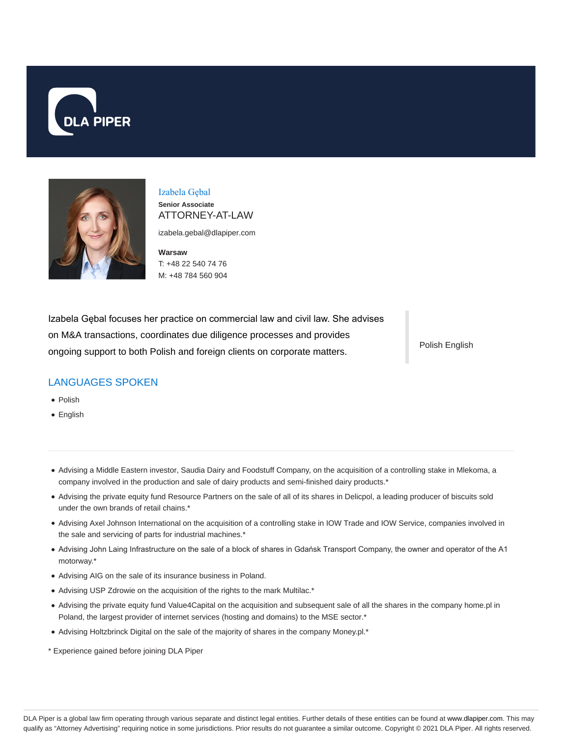



Izabela Gębal **Senior Associate** ATTORNEY-AT-LAW

izabela.gebal@dlapiper.com

**Warsaw** T: +48 22 540 74 76 M: +48 784 560 904

Izabela Gębal focuses her practice on commercial law and civil law. She advises on M&A transactions, coordinates due diligence processes and provides ongoing support to both Polish and foreign clients on corporate matters.

Polish English

### LANGUAGES SPOKEN

- Polish
- English
- Advising a Middle Eastern investor, Saudia Dairy and Foodstuff Company, on the acquisition of a controlling stake in Mlekoma, a company involved in the production and sale of dairy products and semi-finished dairy products.\*
- Advising the private equity fund Resource Partners on the sale of all of its shares in Delicpol, a leading producer of biscuits sold under the own brands of retail chains.\*
- Advising Axel Johnson International on the acquisition of a controlling stake in IOW Trade and IOW Service, companies involved in the sale and servicing of parts for industrial machines.\*
- Advising John Laing Infrastructure on the sale of a block of shares in Gdańsk Transport Company, the owner and operator of the A1 motorway.\*
- Advising AIG on the sale of its insurance business in Poland.
- Advising USP Zdrowie on the acquisition of the rights to the mark Multilac.\*
- Advising the private equity fund Value4Capital on the acquisition and subsequent sale of all the shares in the company home.pl in Poland, the largest provider of internet services (hosting and domains) to the MSE sector.\*
- Advising Holtzbrinck Digital on the sale of the majority of shares in the company Money.pl.\*
- \* Experience gained before joining DLA Piper